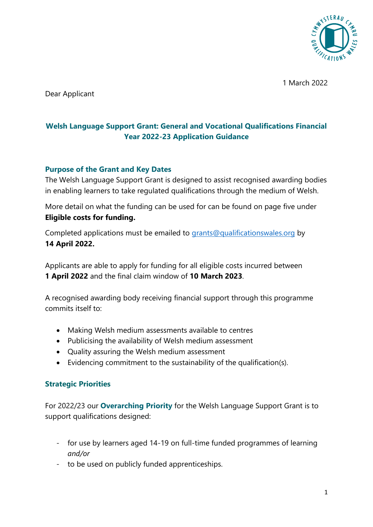

1 March 2022

Dear Applicant

# **Welsh Language Support Grant: General and Vocational Qualifications Financial Year 2022-23 Application Guidance**

#### **Purpose of the Grant and Key Dates**

The Welsh Language Support Grant is designed to assist recognised awarding bodies in enabling learners to take regulated qualifications through the medium of Welsh.

More detail on what the funding can be used for can be found on page five under **[Eligible costs for funding.](#page-4-0)**

Completed applications must be emailed to [grants@qualificationswales.org](mailto:grants@qualificationswales.org) by **14 April 2022.**

Applicants are able to apply for funding for all eligible costs incurred between **1 April 2022** and the final claim window of **10 March 2023**.

A recognised awarding body receiving financial support through this programme commits itself to:

- Making Welsh medium assessments available to centres
- Publicising the availability of Welsh medium assessment
- Quality assuring the Welsh medium assessment
- Evidencing commitment to the sustainability of the qualification(s).

#### **Strategic Priorities**

For 2022/23 our **Overarching Priority** for the Welsh Language Support Grant is to support qualifications designed:

- for use by learners aged 14-19 on full-time funded programmes of learning *and/or*
- to be used on publicly funded apprenticeships.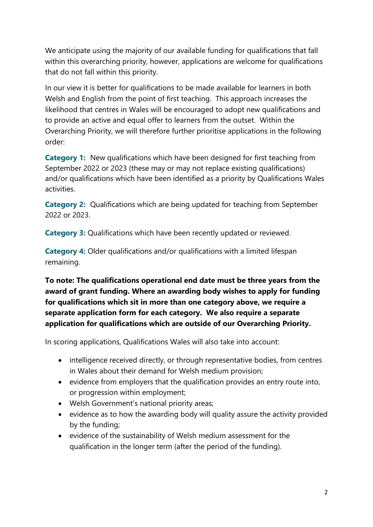We anticipate using the majority of our available funding for qualifications that fall within this overarching priority, however, applications are welcome for qualifications that do not fall within this priority.

In our view it is better for qualifications to be made available for learners in both Welsh and English from the point of first teaching. This approach increases the likelihood that centres in Wales will be encouraged to adopt new qualifications and to provide an active and equal offer to learners from the outset. Within the Overarching Priority, we will therefore further prioritise applications in the following order:

**Category 1:** New qualifications which have been designed for first teaching from September 2022 or 2023 (these may or may not replace existing qualifications) and/or qualifications which have been identified as a priority by Qualifications Wales activities.

**Category 2:** Qualifications which are being updated for teaching from September 2022 or 2023.

**Category 3:** Qualifications which have been recently updated or reviewed.

**Category 4:** Older qualifications and/or qualifications with a limited lifespan remaining.

**To note: The qualifications operational end date must be three years from the award of grant funding. Where an awarding body wishes to apply for funding for qualifications which sit in more than one category above, we require a separate application form for each category. We also require a separate application for qualifications which are outside of our Overarching Priority.** 

In scoring applications, Qualifications Wales will also take into account:

- intelligence received directly, or through representative bodies, from centres in Wales about their demand for Welsh medium provision;
- evidence from employers that the qualification provides an entry route into, or progression within employment;
- Welsh Government's national priority areas;
- evidence as to how the awarding body will quality assure the activity provided by the funding;
- evidence of the sustainability of Welsh medium assessment for the qualification in the longer term (after the period of the funding).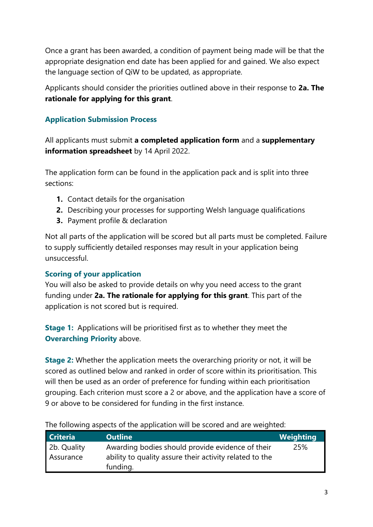Once a grant has been awarded, a condition of payment being made will be that the appropriate designation end date has been applied for and gained. We also expect the language section of QiW to be updated, as appropriate.

Applicants should consider the priorities outlined above in their response to **2a. The rationale for applying for this grant**.

# **Application Submission Process**

All applicants must submit **a completed application form** and a **supplementary information spreadsheet** by 14 April 2022.

The application form can be found in the application pack and is split into three sections:

- **1.** Contact details for the organisation
- **2.** Describing your processes for supporting Welsh language qualifications
- **3.** Payment profile & declaration

Not all parts of the application will be scored but all parts must be completed. Failure to supply sufficiently detailed responses may result in your application being unsuccessful.

# **Scoring of your application**

You will also be asked to provide details on why you need access to the grant funding under **2a. The rationale for applying for this grant**. This part of the application is not scored but is required.

**Stage 1:** Applications will be prioritised first as to whether they meet the **Overarching Priority** above.

**Stage 2:** Whether the application meets the overarching priority or not, it will be scored as outlined below and ranked in order of score within its prioritisation. This will then be used as an order of preference for funding within each prioritisation grouping. Each criterion must score a 2 or above, and the application have a score of 9 or above to be considered for funding in the first instance.

| <b>Criteria</b>          | <b>Outline</b>                                                                                              | <b>Weighting</b> |  |
|--------------------------|-------------------------------------------------------------------------------------------------------------|------------------|--|
| 2b. Quality<br>Assurance | Awarding bodies should provide evidence of their<br>ability to quality assure their activity related to the | 25%              |  |
|                          | funding.                                                                                                    |                  |  |

The following aspects of the application will be scored and are weighted: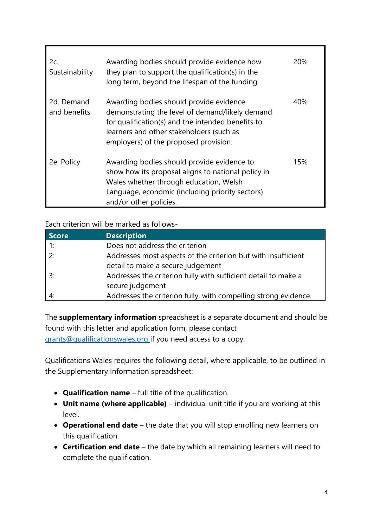| 2c.<br>Sustainability      | Awarding bodies should provide evidence how<br>they plan to support the qualification(s) in the<br>long term, beyond the lifespan of the funding.                                                                                    | 20% |
|----------------------------|--------------------------------------------------------------------------------------------------------------------------------------------------------------------------------------------------------------------------------------|-----|
| 2d. Demand<br>and benefits | Awarding bodies should provide evidence<br>demonstrating the level of demand/likely demand<br>for qualification(s) and the intended benefits to<br>learners and other stakeholders (such as<br>employers) of the proposed provision. | 40% |
| 2e. Policy                 | Awarding bodies should provide evidence to<br>show how its proposal aligns to national policy in<br>Wales whether through education, Welsh<br>Language, economic (including priority sectors)<br>and/or other policies.              | 15% |

Each criterion will be marked as follows-

| <b>Score</b> | <b>Description</b>                                              |
|--------------|-----------------------------------------------------------------|
| $\vert$ 1:   | Does not address the criterion                                  |
| 2:           | Addresses most aspects of the criterion but with insufficient   |
|              | detail to make a secure judgement                               |
| 3:           | Addresses the criterion fully with sufficient detail to make a  |
|              | secure judgement                                                |
|              | Addresses the criterion fully, with compelling strong evidence. |

The **supplementary information** spreadsheet is a separate document and should be found with this letter and application form, please contact [grants@qualificationswales.org](mailto:grants@qualificationswales.org) if you need access to a copy.

Qualifications Wales requires the following detail, where applicable, to be outlined in the Supplementary Information spreadsheet:

- **Qualification name** full title of the qualification.
- **Unit name (where applicable)** individual unit title if you are working at this level.
- **Operational end date** the date that you will stop enrolling new learners on this qualification.
- **Certification end date** the date by which all remaining learners will need to complete the qualification.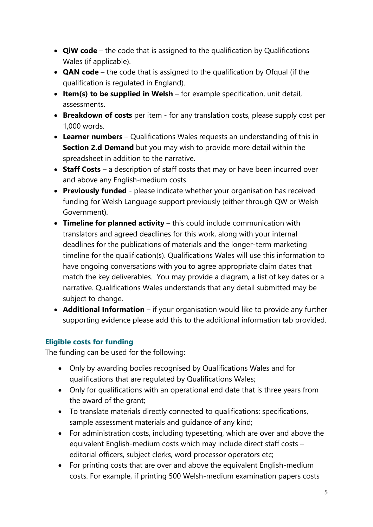- **QiW code** the code that is assigned to the qualification by Qualifications Wales (if applicable).
- **QAN code** the code that is assigned to the qualification by Ofqual (if the qualification is regulated in England).
- **Item(s) to be supplied in Welsh** for example specification, unit detail, assessments.
- **Breakdown of costs** per item for any translation costs, please supply cost per 1,000 words.
- **Learner numbers** Qualifications Wales requests an understanding of this in **Section 2.d Demand** but you may wish to provide more detail within the spreadsheet in addition to the narrative.
- **Staff Costs** a description of staff costs that may or have been incurred over and above any English-medium costs.
- **Previously funded**  please indicate whether your organisation has received funding for Welsh Language support previously (either through QW or Welsh Government).
- **Timeline for planned activity** this could include communication with translators and agreed deadlines for this work, along with your internal deadlines for the publications of materials and the longer-term marketing timeline for the qualification(s). Qualifications Wales will use this information to have ongoing conversations with you to agree appropriate claim dates that match the key deliverables. You may provide a diagram, a list of key dates or a narrative. Qualifications Wales understands that any detail submitted may be subject to change.
- **Additional Information** if your organisation would like to provide any further supporting evidence please add this to the additional information tab provided.

## <span id="page-4-0"></span>**Eligible costs for funding**

The funding can be used for the following:

- Only by awarding bodies recognised by Qualifications Wales and for qualifications that are regulated by Qualifications Wales;
- Only for qualifications with an operational end date that is three years from the award of the grant;
- To translate materials directly connected to qualifications: specifications, sample assessment materials and guidance of any kind;
- For administration costs, including typesetting, which are over and above the equivalent English-medium costs which may include direct staff costs – editorial officers, subject clerks, word processor operators etc;
- For printing costs that are over and above the equivalent English-medium costs. For example, if printing 500 Welsh-medium examination papers costs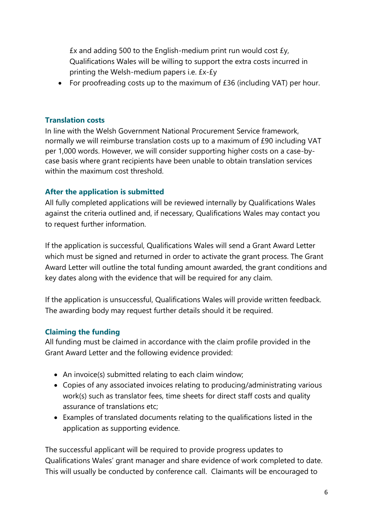£x and adding 500 to the English-medium print run would cost £y, Qualifications Wales will be willing to support the extra costs incurred in printing the Welsh-medium papers i.e. £x-£y

• For proofreading costs up to the maximum of £36 (including VAT) per hour.

#### **Translation costs**

In line with the Welsh Government National Procurement Service framework, normally we will reimburse translation costs up to a maximum of £90 including VAT per 1,000 words. However, we will consider supporting higher costs on a case-bycase basis where grant recipients have been unable to obtain translation services within the maximum cost threshold.

### **After the application is submitted**

All fully completed applications will be reviewed internally by Qualifications Wales against the criteria outlined and, if necessary, Qualifications Wales may contact you to request further information.

If the application is successful, Qualifications Wales will send a Grant Award Letter which must be signed and returned in order to activate the grant process. The Grant Award Letter will outline the total funding amount awarded, the grant conditions and key dates along with the evidence that will be required for any claim.

If the application is unsuccessful, Qualifications Wales will provide written feedback. The awarding body may request further details should it be required.

## **Claiming the funding**

All funding must be claimed in accordance with the claim profile provided in the Grant Award Letter and the following evidence provided:

- An invoice(s) submitted relating to each claim window;
- Copies of any associated invoices relating to producing/administrating various work(s) such as translator fees, time sheets for direct staff costs and quality assurance of translations etc;
- Examples of translated documents relating to the qualifications listed in the application as supporting evidence.

The successful applicant will be required to provide progress updates to Qualifications Wales' grant manager and share evidence of work completed to date. This will usually be conducted by conference call. Claimants will be encouraged to